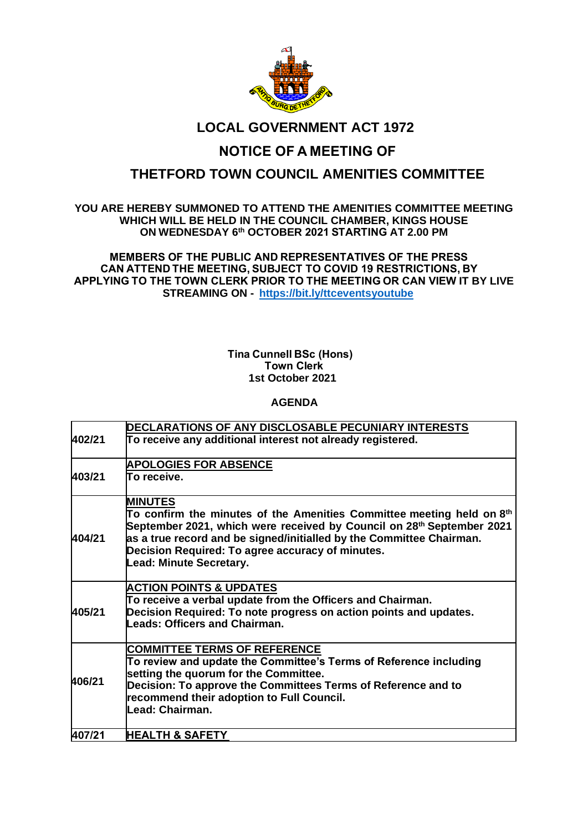

### **LOCAL GOVERNMENT ACT 1972**

# **NOTICE OF A MEETING OF**

## **THETFORD TOWN COUNCIL AMENITIES COMMITTEE**

#### **YOU ARE HEREBY SUMMONED TO ATTEND THE AMENITIES COMMITTEE MEETING WHICH WILL BE HELD IN THE COUNCIL CHAMBER, KINGS HOUSE ON WEDNESDAY 6 th OCTOBER 2021 STARTING AT 2.00 PM**

**MEMBERS OF THE PUBLIC AND REPRESENTATIVES OF THE PRESS    CAN ATTEND THE MEETING, SUBJECT TO COVID 19 RESTRICTIONS, BY    APPLYING TO THE TOWN CLERK PRIOR TO THE MEETING OR CAN VIEW IT BY LIVE STREAMING ON - <https://bit.ly/ttceventsyoutube>**    

#### **Tina Cunnell BSc (Hons)    Town Clerk 1st October 2021**

### **AGENDA**

|        | DECLARATIONS OF ANY DISCLOSABLE PECUNIARY INTERESTS                               |
|--------|-----------------------------------------------------------------------------------|
| 402/21 | To receive any additional interest not already registered.                        |
|        |                                                                                   |
| 403/21 | <b>APOLOGIES FOR ABSENCE</b>                                                      |
|        | To receive.                                                                       |
| 404/21 | <b>MINUTES</b>                                                                    |
|        | To confirm the minutes of the Amenities Committee meeting held on $8th$           |
|        | September 2021, which were received by Council on 28 <sup>th</sup> September 2021 |
|        | as a true record and be signed/initialled by the Committee Chairman.              |
|        | Decision Required: To agree accuracy of minutes.                                  |
|        | <b>Lead: Minute Secretary.</b>                                                    |
| 405/21 | <b>ACTION POINTS &amp; UPDATES</b>                                                |
|        | To receive a verbal update from the Officers and Chairman.                        |
|        | Decision Required: To note progress on action points and updates.                 |
|        | <b>Leads: Officers and Chairman.</b>                                              |
| 406/21 | <b>COMMITTEE TERMS OF REFERENCE</b>                                               |
|        | To review and update the Committee's Terms of Reference including                 |
|        | setting the quorum for the Committee.                                             |
|        | Decision: To approve the Committees Terms of Reference and to                     |
|        | recommend their adoption to Full Council.<br>Lead: Chairman.                      |
|        |                                                                                   |
| 407/21 | <b>HEALTH &amp; SAFETY</b>                                                        |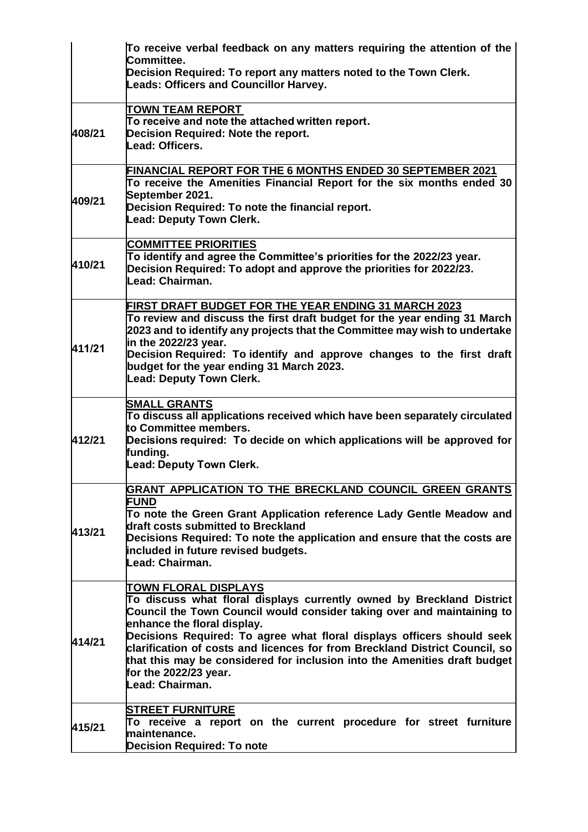|        | To receive verbal feedback on any matters requiring the attention of the<br>Committee.<br>Decision Required: To report any matters noted to the Town Clerk.<br><b>Leads: Officers and Councillor Harvey.</b>                                                                                                                                                                                                                                                                                    |
|--------|-------------------------------------------------------------------------------------------------------------------------------------------------------------------------------------------------------------------------------------------------------------------------------------------------------------------------------------------------------------------------------------------------------------------------------------------------------------------------------------------------|
| 408/21 | TOWN TEAM REPORT<br>To receive and note the attached written report.<br>Decision Required: Note the report.<br>Lead: Officers.                                                                                                                                                                                                                                                                                                                                                                  |
| 409/21 | FINANCIAL REPORT FOR THE 6 MONTHS ENDED 30 SEPTEMBER 2021<br>To receive the Amenities Financial Report for the six months ended 30<br>September 2021.<br>Decision Required: To note the financial report.<br><b>Lead: Deputy Town Clerk.</b>                                                                                                                                                                                                                                                    |
| 410/21 | <b>COMMITTEE PRIORITIES</b><br>To identify and agree the Committee's priorities for the 2022/23 year.<br>Decision Required: To adopt and approve the priorities for 2022/23.<br>Lead: Chairman.                                                                                                                                                                                                                                                                                                 |
| 411/21 | FIRST DRAFT BUDGET FOR THE YEAR ENDING 31 MARCH 2023<br>To review and discuss the first draft budget for the year ending 31 March<br>2023 and to identify any projects that the Committee may wish to undertake<br>in the 2022/23 year.<br>Decision Required: To identify and approve changes to the first draft<br>budget for the year ending 31 March 2023.<br><b>Lead: Deputy Town Clerk.</b>                                                                                                |
| 412/21 | <b>SMALL GRANTS</b><br>To discuss all applications received which have been separately circulated<br>to Committee members.<br>Decisions required: To decide on which applications will be approved for<br>funding.<br>Lead: Deputy Town Clerk.                                                                                                                                                                                                                                                  |
| 413/21 | GRANT APPLICATION TO THE BRECKLAND COUNCIL GREEN GRANTS<br><b>FUND</b><br>To note the Green Grant Application reference Lady Gentle Meadow and<br>draft costs submitted to Breckland<br>Decisions Required: To note the application and ensure that the costs are<br>included in future revised budgets.<br>Lead: Chairman.                                                                                                                                                                     |
| 414/21 | <b>TOWN FLORAL DISPLAYS</b><br>To discuss what floral displays currently owned by Breckland District<br>Council the Town Council would consider taking over and maintaining to<br>enhance the floral display.<br>Decisions Required: To agree what floral displays officers should seek<br>clarification of costs and licences for from Breckland District Council, so<br>that this may be considered for inclusion into the Amenities draft budget<br>for the 2022/23 year.<br>Lead: Chairman. |
| 415/21 | <b>STREET FURNITURE</b><br>To receive a report on the current procedure for street furniture<br>maintenance.<br><b>Decision Required: To note</b>                                                                                                                                                                                                                                                                                                                                               |